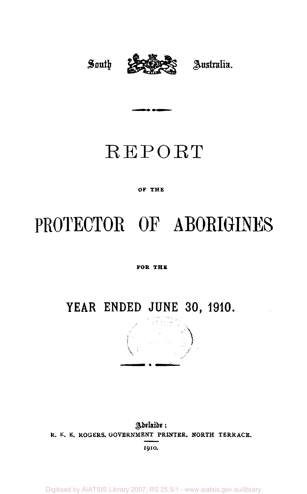# *South* **23wPPi2£§ Australia.**

## REPORT

#### OF **THE**

## PROTECTOR OF ABORIGINES

#### **FOB THE**

### **YEAR ENDED JUNE 30 , 1910.**



Adelaide: R. E. E. ROGERS, GOVERNMENT **PRINTER, NORTH** TERRACE. 1910.

Digitised by AIATSIS Library 2007, RS 25.5/1 - www.aiatsis.gov.au/library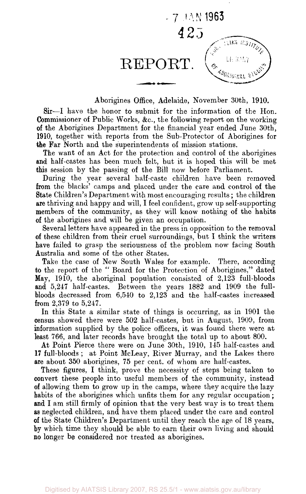

Aborigines Office, Adelaide, November 30th, 1910.

Sir—I have the honor to submit for the information of the Hon. Commissioner of Public Works, &c, the following report on the working of the Aborigines Department for the financial year ended June 30th, 1910, together with reports from the Sub-Protector of Aborigines for the Far North and the superintendents of mission stations.

The want of an Act for the protection and control of the aborigines and half-castes has been much felt, but it is hoped this will be met this session by the passing of the Bill now before Parliament.

During the year several half-caste children have been removed from the blacks' camps and placed under the care and control of the State Children's Department with most encouraging results; the children are thriving and happy and will, I feel confident, grow up self-supporting members of the community, as they will know nothing of the habits of the aborigines and will be given an occupation.

Several letters have appeared in the press in opposition to the removal of these children from their cruel surroundings, but I think the writers have failed to grasp the seriousness of the problem now facing South Australia and some of the other States.

Take the case of New South Wales for example. There, according to the report of the "Board for the Protection of Aborigines," dated May, 1910, the aboriginal population consisted of 2,123 full-bloods and 5,247 half-castes. Between the years 1882 and 1909 the fullbloods decreased from 6,540 to 2,123 and the half-castes increased from 2,379 to 5,247.

In this State a similar state of things is occurring, as in 1901 the census showed there were 502 half-castes, but in August, 1909, from information supplied by the police officers, it was found there were at least 766, and later records have brought the total up to about 800.

At Point Pierce there were on June 30th, 1910, 145 half-castes and 17 full-bloods ; at Point McLeay, River Murray, and the Lakes there are about 350 aborigines, 75 per cent, of whom are half-castes.

These figures, I think, prove the necessity of steps being taken to convert these people into useful members of the community, instead of allowing them to grow up in the camps, where they acquire the lazy habits of the aborigines which unfits them for any regular occupation; and I am still firmly of opinion that the very best way is to treat them as neglected children, and have them placed under the care and control of the State Children's Department until they reach the age of 18 years, by which time they should be able to earn their own living and should no longer be considered nor treated as aborigines.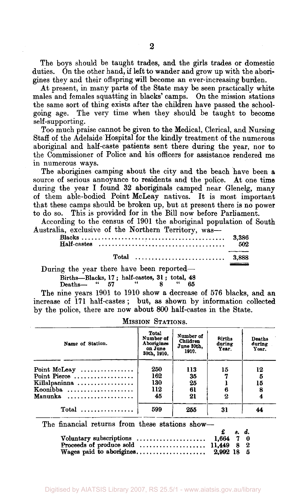The boys should be taught trades, and the girls trades or domestic duties. On the other hand, if left to wander and grow up with the aborigines they and their offspring will become an ever-increasing burden.

At present, in many parts of the State may be seen practically white males and females squatting in blacks' camps. On the mission stations the same sort of thing exists after the children have passed the schoolgoing age. The very time when they should be taught to become self-supporting.

Too much praise cannot be given to the Medical, Clerical, and Nursing Staff of the Adelaide Hospital for the kindly treatment of the numerous aboriginal and half-caste patients sent there during the year, nor to the Commissioner of Police and his officers for assistance rendered me in numerous ways.

The aborigines camping about the city and the beach have been a source of serious annoyance to residents and the police. At one time during the year I found 32 aboriginals camped near Glenelg, many of them able-bodied Point McLeay natives. It is most important that these camps should be broken up, but at present there is no power to do so. This is provided for in the Bill now before Parliament.

According to the census of 1901 the aboriginal population of South Australia, exclusive of the Northern Territory, was—

|                                                             | 502 |
|-------------------------------------------------------------|-----|
| Total $\dots\dots\dots\dots\dots\dots\dots\dots\dots$ 3,888 |     |
| During the year there have been reported-                   |     |

Births—Blacks, 17; half-castes, 31; total,  $\frac{48}{65}$ Deaths— " 57 " 8 " 65

The nine years 1901 to 1910 show a decrease of 576 blacks, and an increase of 171 half-castes ; but, as shown by information collected by the police, there are now about 800 half-castes in the State.

| Name of Station. | Total<br>Number of<br>Aborigines<br>on June<br>30th, 1910. | Number of<br><b>Children</b><br>June 30th.<br>1910. | <b>Births</b><br>during<br>Year. | Deaths<br>during<br>Year. |
|------------------|------------------------------------------------------------|-----------------------------------------------------|----------------------------------|---------------------------|
| Point McLeay     | 250                                                        | 113                                                 | 15                               | 12                        |
| Point Pierce     | 162                                                        | 35                                                  |                                  | 5                         |
| Killalpaninna    | 130                                                        | 25                                                  |                                  | 15                        |
| Koonibba         | 112                                                        | 61                                                  |                                  | 8                         |
| Manunka          | 45                                                         | 21                                                  | 2                                |                           |
|                  | 599                                                        | 255                                                 | 31                               |                           |

MISSION STATIONS.

The financial returns from these stations show—

|                                     | $\mathbf{f}$ $\mathbf{s}$ $\mathbf{d}$ |  |  |
|-------------------------------------|----------------------------------------|--|--|
| Voluntary subscriptions $1,664$ 7 0 |                                        |  |  |
|                                     |                                        |  |  |
|                                     |                                        |  |  |

**2**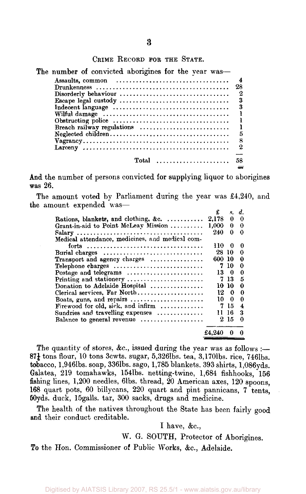|  | CRIME RECORD FOR THE STATE. |  |  |  |
|--|-----------------------------|--|--|--|
|--|-----------------------------|--|--|--|

| The number of convicted aborigines for the year was-                                       |    |
|--------------------------------------------------------------------------------------------|----|
|                                                                                            |    |
|                                                                                            | 28 |
| Disorderly behaviour                                                                       | 2  |
| Escape legal custody                                                                       | 3  |
|                                                                                            | 3  |
|                                                                                            |    |
| Obstructing police $\ldots \ldots \ldots \ldots \ldots \ldots \ldots \ldots \ldots \ldots$ |    |
| Breach railway regulations                                                                 |    |
|                                                                                            | 5  |
|                                                                                            | 8  |
|                                                                                            | 2  |
|                                                                                            |    |
| Total                                                                                      | 58 |
|                                                                                            |    |

And the number of persons convicted for supplying liquor to aborigines was 26.

The amount voted by Parliament during the year was £4,240, and the amount expended was—

|                                                                               | £      |          | s. d.    |
|-------------------------------------------------------------------------------|--------|----------|----------|
| Rations, blankets, and clothing, &c. $\ldots$                                 | 2,178  | 0        | 0        |
| Grant-in-aid to Point McLeay Mission                                          | 1.000  | $\bf{0}$ | 0        |
|                                                                               | 240    | 0        | $\Omega$ |
| Medical attendance, medicines, and medical com-                               |        |          |          |
|                                                                               | 110    | $\Omega$ | 0        |
| Burial charges $\dots\dots\dots\dots\dots\dots\dots\dots\dots\dots\dots\dots$ | 28 10  |          | 0        |
| Transport and agency charges                                                  | 600 10 |          | 0        |
| Telephone charges                                                             |        | 7 10     | O        |
| Postage and telegrams                                                         |        | 130      | 0        |
| Printing and stationery                                                       | 7.     | -13      | 5        |
| Donation to Adelaide Hospital                                                 |        | 10-10    | Ω        |
| Clerical services, Far North                                                  |        | 120      | 0        |
| Boats, guns, and repairs $\dots\dots\dots\dots\dots\dots\dots$                | 10.    | $\bf{0}$ | $\Omega$ |
| Firewood for old, sick, and infirm $\ldots$                                   | 7      | 15       | 4        |
| Sundries and travelling expenses $\dots\dots\dots\dots$                       | Ħ      | 16       | 3        |
| Balance to general revenue                                                    |        | 2 15     | 0        |
|                                                                               | £4.240 |          |          |

The quantity of stores, &c., issued during the year was as follows :—  $87\frac{1}{4}$  tons flour, 10 tons 3cwts. sugar, 5,326lbs. tea, 3,170lbs. rice, 746lbs. tobacco, l,9461bs. soap, 3361bs. sago, 1,785 blankets, 393 shirts, 1,086yds. Galatea, 219 tomahawks, 1541bs. netting-twine, 1,684 fishhooks, 156 fishing lines, 1,200 needles, 61bs. thread, 20 American axes, 120 spoons, 168 quart pots, 60 billycans, 220 quart and pint pannicans, 7 tents, 50yds. duck, 15galls. tar, 300 sacks, drugs and medicine.

The health of the natives throughout the State has been fairly good and their conduct creditable.

I have, &c,

W. G. SOUTH, Protector of Aborigines.

To the Hon. Commissioner of Public Works, &c, Adelaide.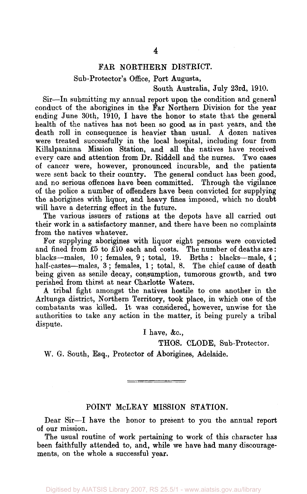#### FAR NORTHERN DISTRICT.

#### Sub-Protector's Office, Port Augusta,

#### South Australia, July 23rd, 1910.

Sir—In submitting my annual report upon the condition and general conduct of the aborigines in the Far Northern Division for the year ending June 30th, 1910, I have the honor to state that the general health of the natives has not been so good as in past years, and the death roll in consequence is heavier than usual. A dozen natives were treated successfully in the local hospital, including four from Killalpaninna Mission Station, and all the natives have received every care and attention from Dr. Riddell and the nurses. Two cases of cancer were, however, pronounced incurable, and the patients were sent back to their country. The general conduct has been good, and no serious offences have been committed. Through the vigilance of the police a number of offenders have been convicted for supplying the aborigines with liquor, and heavy fines imposed, which no doubt will have a deterring effect in the future.

The various issuers of rations at the depots have all carried out their work in a satisfactory manner, and there have been no complaints from the natives whatever.

For supplying aborigines with liquor eight persons were convicted and fined from £5 to £10 each and costs. The number of deaths are: blacks—males, 10; females, 9; total, 19. Brths: blacks—male, 4; half-castes—males, 3; females, 1; total, 8. The chief cause of death being given as senile decay, consumption, tumorous growth, and two perished from thirst at near Charlotte Waters.

A tribal fight amongst the natives hostile to one another in the Arltunga district, Northern Territory, took place, in which one of the combatants was killed. It was considered, however, unwise for the authorities to take any action in the matter, it being purely a tribal dispute.

I have, &c,

THOS. CLODE, Sub-Protector.

W. G. South, Esq., Protector of Aborigines, Adelaide.

#### POINT McLEAY MISSION STATION.

\_\_\_\_\_\_\_\_\_\_\_\_\_\_\_\_\_\_\_

Dear Sir—I have the honor to present to you the annual report of our mission.

The usual routine of work pertaining to work of this character has been faithfully attended to, and, while we have had many discouragements, on the whole a successful year.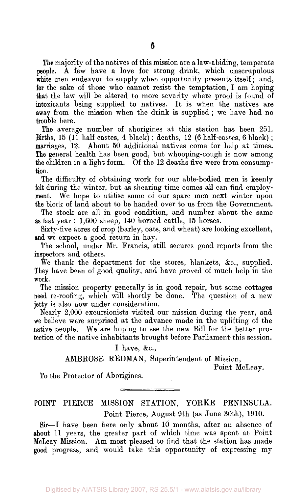The majority of the natives of this mission are a law-abiding, temperate people. A few have a love for strong drink, which unscrupulous white men endeavor to supply when opportunity presents itself; and, for the sake of those who cannot resist the temptation, I am hoping that the law will be altered to more severity where proof is found of intoxicants being supplied to natives. It is when the natives are away from the mission when the drink is supplied ; we have had no trouble here.

The average number of aborigines at this station has been 251. Births, 15 (11 half-castes, 4 black); deaths, 12 (6 half-castes, 6 black); marriages, 12. About 50 additional natives come for help at times. The general health has been good, but whooping-cough is now among the children in a light form. Of the 12 deaths five were from consumption.

The difficulty of obtaining work for our able-bodied men is keenly felt during the winter, but as shearing time comes all can find employment. We hope to utilise some of our spare men next winter upon the block of land about to be handed over to us from the Government.

The stock are all in good condition, and number about the same as last year : 1,600 sheep, 140 horned cattle, 15 horses.

Sixty-five acres of crop (barley, oats, and wheat) are looking excellent, and we expect a good return in hay.

The school, under Mr. Francis, still secures good reports from the inspectors and others.

We thank the department for the stores, blankets,  $\&c$ , supplied. They have been of good quality, and have proved of much help in the work.

The mission property generally is in good repair, but some cottages need re-roofing, which will shortly be done. The question of a new jetty is also now under consideration.

Nearly 2,000 excursionists visited our mission during the year, and we believe were surprised at the advance made in the uplifting of the native people. We are hoping to see the new Bill for the better protection of the native inhabitants brought before Parliament this session.

I have, &c,

AMBROSE REDMAN, Superintendent of Mission,

Point McLeay.

To the Protector of Aborigines.

#### POINT PIERCE MISSION STATION, YORKE PENINSULA. Point Pierce, August 9th (as June 30th), 1910.

Sir—I have been here only about 10 months, after an absence of about 11 years, the greater part of which time was spent at Point McLeay Mission. Am most pleased to find that the station has made good progress, and would take this opportunity of expressing my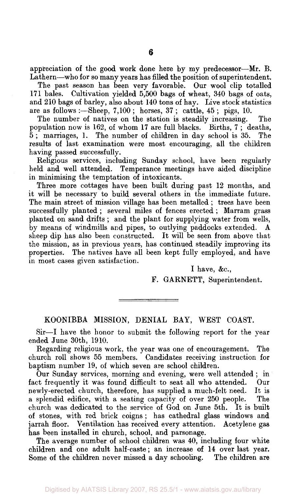appreciation of the good work done here by my predecessor—Mr. B. Lathern—who for so many years has filled the position of superintendent.

The past season has been very favorable. Our wool clip totalled 171 bales. Cultivation yielded 5,500 bags of wheat, 340 bags of oats, and 210 bags of barley, also about 140 tons of hay. Live stock statistics are as follows :—Sheep, 7,100 ; horses, 37 ; cattle, 45 ; pigs, 10.

The number of natives on the station is steadily increasing. The population now is 162, of whom 17 are full blacks. Births, 7 ; deaths, 5 ; marriages, 1. The number of children in day school is 35. The results of last examination were most encouraging, all the children having passed successfully.

Religious services, including Sunday school, have been regularly held and well attended. Temperance meetings have aided discipline in minimising the temptation of intoxicants.

Three more cottages have been built during past 12 months, and it will be necessary to build several others in the immediate future. The main street of mission village has been metalled ; trees have been successfully planted ; several miles of fences erected ; Marram grass planted on sand drifts ; and the plant for supplying water from wells, by means of windmills and pipes, to outlying paddocks extended. A sheep dip has also been constructed. It will be seen from above that the mission, as in previous years, has continued steadily improving its properties. The natives have all been kept fully employed, and have in most cases given satisfaction.

I have, &c,

F. GARNETT, Superintendent.

KOONIBBA MISSION, DENIAL BAY, WEST COAST.

Sir—I have the honor to submit the following report for the year ended June 30th, 1910.

Regarding religious work, the year was one of encouragement. The church roll shows 55 members. Candidates receiving instruction for baptism number 19, of which seven are school children.

Our Sunday services, morning and evening, were well attended ; in fact frequently it was found difficult to seat all who attended. Our newly-erected church, therefore, has supplied a much-felt need. It is a splendid edifice, with a seating capacity of over 250 people. The church was dedicated to the service of God on June 5th. It is built of stones, with red brick coigns ; has cathedral glass windows and jarrah floor. Ventilation has received every attention. Acetylene gas has been installed in church, school, and parsonage.

The average number of school children was 40, including four white children and one adult half-caste; an increase of 14 over last year. Some of the children never missed a day schooling. The children are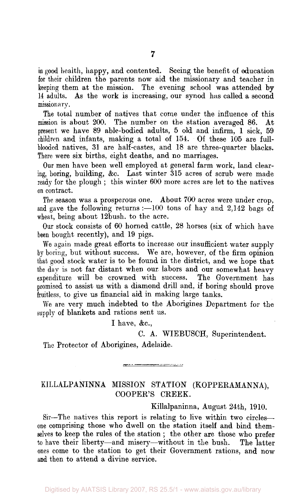in good health, happy, and contented. Seeing the benefit of education for their children the parents now aid the missionary and teacher in keeping them at the mission. The evening school was attended by 14 adults. As the work is increasing, our synod has called a second missionary.

The total number of natives that come under the influence of this mission is about 200. The number on the station averaged 86. At present we have 89 able-bodied adults, 5 old and infirm, 1 sick, 59 children and infants, making a total of 154. Of these 105 are fullblooded natives, 31 are half-castes, and 18 are three-quarter blacks. There were six births, eight deaths, and no marriages.

Our men have been well employed at general farm work, land clearing, boring, building, &c. Last winter 315 acres of scrub were made ready for the plough ; this winter 600 more acres are let to the natives on contract.

The season was a prosperous one. About 700 acres were under crop, and gave the following returns : $-100$  tons of hay and 2,142 bags of wheat, being about 12bush. to the acre.

Our stock consists of 60 horned cattle, 28 horses (six of which have been bought recently), and 19 pigs.

We again made great efforts to increase our insufficient water supply by boring, but without success. We are, however, of the firm opinion that good stock water is to be found in the district, and we hope that the day is not far distant when our labors and our somewhat heavy expenditure will be crowned with success. The Government has promised to assist us with a diamond drill and, if boring should prove fruitless, to give us financial aid in making large tanks.

We are very much indebted to the Aborigines Department for the supply of blankets and rations sent us.

I have, &c,

#### C. A. WIEBUSCH, Superintendent.

The Protector of Aborigines, Adelaide.

#### KILLALPANINNA MISSION STATION (KOPPERAMANNA), COOPER'S CREEK.

Killalpaninna, August 24th, 1910.

Sir—The natives this report is relating to live within two circles one comprising those who dwell on the station itself and bind themselves to keep the rules of the station ; the other are those who prefer to have their liberty—and misery—without in the bush. The latter ones come to the station to get their Government rations, and now and then to attend a divine service.